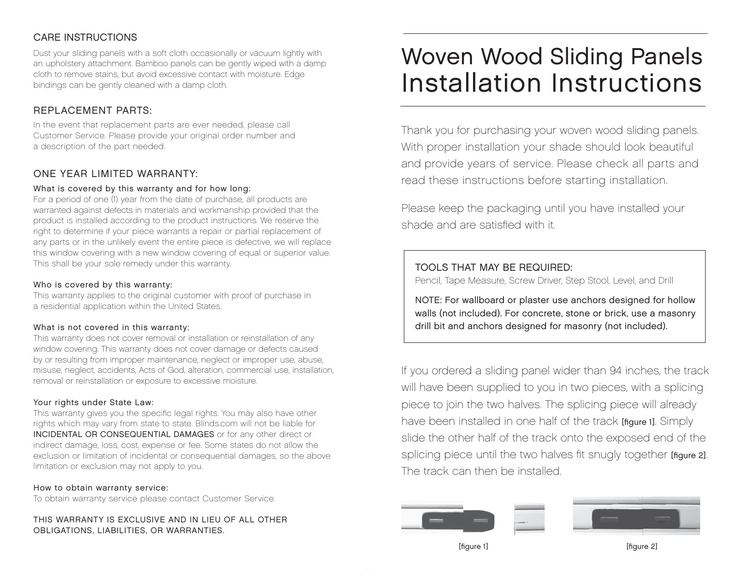## CARE INSTRUCTIONS

Dust your sliding panels with a soft cloth occasionally or vacuum lightly with an upholstery attachment. Bamboo panels can be gently wiped with a damp cloth to remove stains, but avoid excessive contact with moisture. Edge bindings can be gently cleaned with a damp cloth.

## REPLACEMENT PARTS:

In the event that replacement parts are ever needed, please call Customer Service. Please provide your original order number and a description of the part needed.

## ONE YEAR LIMITED WARRANTY:

#### What is covered by this warranty and for how long:

For a period of one (1) year from the date of purchase, all products are warranted against defects in materials and workmanship provided that the product is installed according to the product instructions. We reserve the right to determine if your piece warrants a repair or partial replacement of any parts or in the unlikely event the entire piece is defective, we will replace this window covering with a new window covering of equal or superior value. This shall be your sole remedy under this warranty.

#### Who is covered by this warranty:

This warranty applies to the original customer with proof of purchase in a residential application within the United States.

#### What is not covered in this warranty:

This warranty does not cover removal or installation or reinstallation of any window covering. This warranty does not cover damage or defects caused by or resulting from improper maintenance, neglect or improper use, abuse, misuse, neglect, accidents, Acts of God, alteration, commercial use, installation, removal or reinstallation or exposure to excessive moisture.

#### Your rights under State Law:

This warranty gives you the specific legal rights. You may also have other rights which may vary from state to state. Blinds.com will not be liable for INCIDENTAL OR CONSEQUENTIAL DAMAGES or for any other direct or indirect damage, loss, cost, expense or fee. Some states do not allow the exclusion or limitation of incidental or consequential damages, so the above limitation or exclusion may not apply to you.

#### How to obtain warranty service:

To obtain warranty service please contact Customer Service.

THIS WARRANTY IS EXCLUSIVE AND IN LIEU OF ALL OTHER OBLIGATIONS, LIABILITIES, OR WARRANTIES.

# Woven Wood Sliding Panels Installation Instructions

Thank you for purchasing your woven wood sliding panels. With proper installation your shade should look beautiful and provide years of service. Please check all parts and read these instructions before starting installation.

Please keep the packaging until you have installed your shade and are satisfied with it.

## TOOLS THAT MAY BE REQUIRED:

Pencil, Tape Measure, Screw Driver, Step Stool, Level, and Drill

NOTE: For wallboard or plaster use anchors designed for hollow walls (not included). For concrete, stone or brick, use a masonry drill bit and anchors designed for masonry (not included).

If you ordered a sliding panel wider than 94 inches, the track will have been supplied to you in two pieces, with a splicing piece to join the two halves. The splicing piece will already have been installed in one half of the track [figure 1]. Simply slide the other half of the track onto the exposed end of the splicing piece until the two halves fit snugly together [figure 2]. The track can then be installed.



[figure 1] [figure 2]